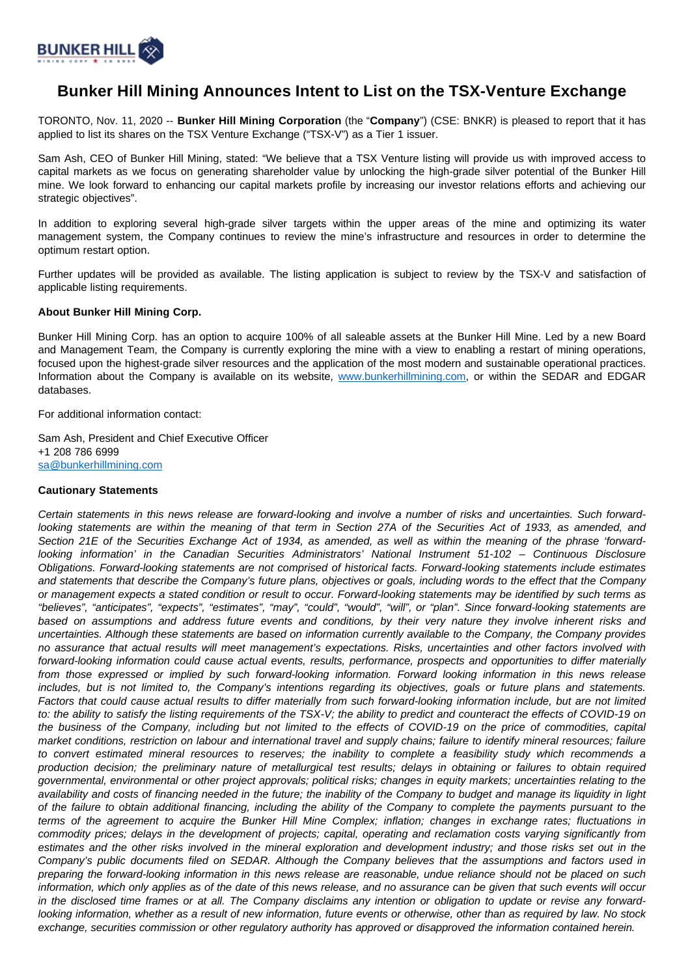

## **Bunker Hill Mining Announces Intent to List on the TSX-Venture Exchange**

TORONTO, Nov. 11, 2020 -- **Bunker Hill Mining Corporation** (the "**Company**") (CSE: BNKR) is pleased to report that it has applied to list its shares on the TSX Venture Exchange ("TSX-V") as a Tier 1 issuer.

Sam Ash, CEO of Bunker Hill Mining, stated: "We believe that a TSX Venture listing will provide us with improved access to capital markets as we focus on generating shareholder value by unlocking the high-grade silver potential of the Bunker Hill mine. We look forward to enhancing our capital markets profile by increasing our investor relations efforts and achieving our strategic objectives".

In addition to exploring several high-grade silver targets within the upper areas of the mine and optimizing its water management system, the Company continues to review the mine's infrastructure and resources in order to determine the optimum restart option.

Further updates will be provided as available. The listing application is subject to review by the TSX-V and satisfaction of applicable listing requirements.

## **About Bunker Hill Mining Corp.**

Bunker Hill Mining Corp. has an option to acquire 100% of all saleable assets at the Bunker Hill Mine. Led by a new Board and Management Team, the Company is currently exploring the mine with a view to enabling a restart of mining operations, focused upon the highest-grade silver resources and the application of the most modern and sustainable operational practices. Information about the Company is available on its website, [www.bunkerhillmining.com,](http://www.bunkerhillmining.com/) or within the SEDAR and EDGAR databases.

For additional information contact:

Sam Ash, President and Chief Executive Officer +1 208 786 6999 [sa@bunkerhillmining.com](mailto:sa@bunkerhillmining.com)

## **Cautionary Statements**

Certain statements in this news release are forward-looking and involve a number of risks and uncertainties. Such forwardlooking statements are within the meaning of that term in Section 27A of the Securities Act of 1933, as amended, and Section 21E of the Securities Exchange Act of 1934, as amended, as well as within the meaning of the phrase 'forwardlooking information' in the Canadian Securities Administrators' National Instrument 51-102 – Continuous Disclosure Obligations. Forward-looking statements are not comprised of historical facts. Forward-looking statements include estimates and statements that describe the Company's future plans, objectives or goals, including words to the effect that the Company or management expects a stated condition or result to occur. Forward-looking statements may be identified by such terms as "believes", "anticipates", "expects", "estimates", "may", "could", "would", "will", or "plan". Since forward-looking statements are based on assumptions and address future events and conditions, by their very nature they involve inherent risks and uncertainties. Although these statements are based on information currently available to the Company, the Company provides no assurance that actual results will meet management's expectations. Risks, uncertainties and other factors involved with forward-looking information could cause actual events, results, performance, prospects and opportunities to differ materially from those expressed or implied by such forward-looking information. Forward looking information in this news release includes, but is not limited to, the Company's intentions regarding its objectives, goals or future plans and statements. Factors that could cause actual results to differ materially from such forward-looking information include, but are not limited to: the ability to satisfy the listing requirements of the TSX-V; the ability to predict and counteract the effects of COVID-19 on the business of the Company, including but not limited to the effects of COVID-19 on the price of commodities, capital market conditions, restriction on labour and international travel and supply chains; failure to identify mineral resources; failure to convert estimated mineral resources to reserves; the inability to complete a feasibility study which recommends a production decision; the preliminary nature of metallurgical test results; delays in obtaining or failures to obtain required governmental, environmental or other project approvals; political risks; changes in equity markets; uncertainties relating to the availability and costs of financing needed in the future; the inability of the Company to budget and manage its liquidity in light of the failure to obtain additional financing, including the ability of the Company to complete the payments pursuant to the terms of the agreement to acquire the Bunker Hill Mine Complex; inflation; changes in exchange rates; fluctuations in commodity prices; delays in the development of projects; capital, operating and reclamation costs varying significantly from estimates and the other risks involved in the mineral exploration and development industry; and those risks set out in the Company's public documents filed on SEDAR. Although the Company believes that the assumptions and factors used in preparing the forward-looking information in this news release are reasonable, undue reliance should not be placed on such information, which only applies as of the date of this news release, and no assurance can be given that such events will occur in the disclosed time frames or at all. The Company disclaims any intention or obligation to update or revise any forwardlooking information, whether as a result of new information, future events or otherwise, other than as required by law. No stock exchange, securities commission or other regulatory authority has approved or disapproved the information contained herein.